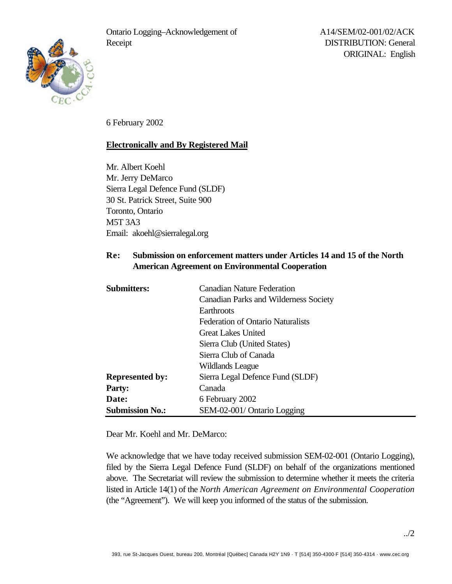

6 February 2002

## **Electronically and By Registered Mail**

Mr. Albert Koehl Mr. Jerry DeMarco Sierra Legal Defence Fund (SLDF) 30 St. Patrick Street, Suite 900 Toronto, Ontario M5T 3A3 Email: akoehl@sierralegal.org

## **Re: Submission on enforcement matters under Articles 14 and 15 of the North American Agreement on Environmental Cooperation**

| <b>Submitters:</b>     | <b>Canadian Nature Federation</b>        |
|------------------------|------------------------------------------|
|                        | Canadian Parks and Wilderness Society    |
|                        | Earthroots                               |
|                        | <b>Federation of Ontario Naturalists</b> |
|                        | Great Lakes United                       |
|                        | Sierra Club (United States)              |
|                        | Sierra Club of Canada                    |
|                        | Wildlands League                         |
| <b>Represented by:</b> | Sierra Legal Defence Fund (SLDF)         |
| <b>Party:</b>          | Canada                                   |
| Date:                  | 6 February 2002                          |
| <b>Submission No.:</b> | SEM-02-001/ Ontario Logging              |

Dear Mr. Koehl and Mr. DeMarco:

We acknowledge that we have today received submission SEM-02-001 (Ontario Logging), filed by the Sierra Legal Defence Fund (SLDF) on behalf of the organizations mentioned above. The Secretariat will review the submission to determine whether it meets the criteria listed in Article 14(1) of the *North American Agreement on Environmental Cooperation* (the "Agreement"). We will keep you informed of the status of the submission.